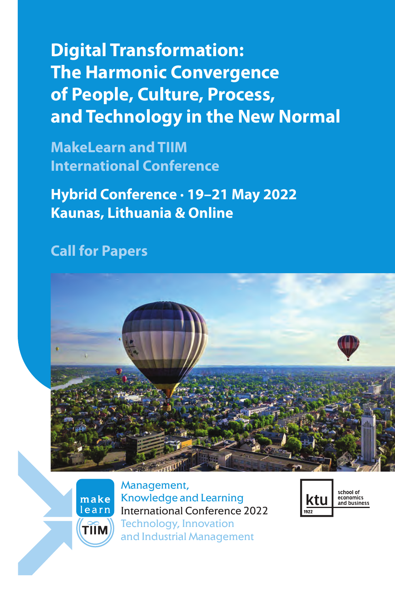# **Digital Transformation: The Harmonic Convergence of People, Culture, Process, and Technology in the New Normal**

**MakeLearn and TIIM International Conference**

**Hybrid Conference · 19–21 May 2022 Kaunas, Lithuania & Online**

### **Call for Papers**



school of economics<br>and business

ktu



Management, Knowledge and Learning International Conference 2022 Technology, Innovation and Industrial Management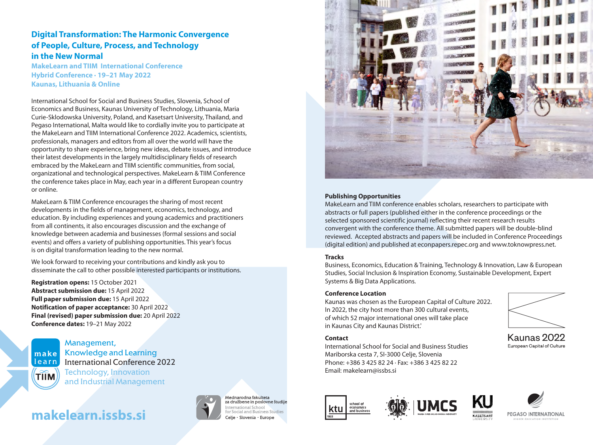### **Digital Transformation: The Harmonic Convergence of People, Culture, Process, and Technology in the New Normal**

**MakeLearn and TIIM International Conference Hybrid Conference · 19 2 –21 May 202 Kaunas, Lithuania & Online**

International School for Social and Business Studies, Slovenia, School of Economics and Business, Kaunas University of Technology, Lithuania, Maria Curie-Sklodowska University, Poland, and Kasetsart University, Thailand, and Pegaso International, Malta would like to cordially invite you to participate at the MakeLearn and TIIM International Conference 2022. Academics, scientists, professionals, managers and editors from all over the world will have the opportunity to share experience, bring new ideas, debate issues, and introduce their latest developments in the largely multidisciplinary fields of research embraced by the MakeLearn and TIIM scientific communities, from social, organizational and technological perspectives. MakeLearn & TIIM Conference the conference takes place in May, each year in a different European country or online.

MakeLearn & TIIM Conference encourages the sharing of most recent developments in the fields of management, economics, technology, and education. By including experiences and young academics and practitioners from all continents, it also encourages discussion and the exchange of knowledge between academia and businesses (formal sessions and social events) and offers a variety of publishing opportunities. This year's focus is on digital transformation leading to the new normal.

We look forward to receiving your contributions and kindly ask you to disseminate the call to other possible interested participants or institutions.

**Registration opens:** 15 October 2021 **Abstract submission due:** 15 April 2022 Full paper submission due: 15 April 2022 **Notification of paper acceptance:** 30 April 2022 **Final (revised) paper submission due:** 20 April 2022 **Conference dates:** 19–21 May 2022



Management, Knowledge and Learning International Conference 2022 Technology, Innovation and Industrial Management

## **makelearn.issbs.si**



Mednarodna fakulteta za družbene in poslovne študije International School for Social and Business Studies Celie · Slovenia · Europe



#### **Publishing Opportunities**

MakeLearn and TIIM conference enables scholars, researchers to participate with abstracts or full papers (published either in the conference proceedings or the selected sponsored scientific journal) reflecting their recent research results convergent with the conference theme. All submitted papers will be double-blind reviewed. Accepted abstracts and papers will be included in Conference Proceedings (digital edition) and published at econpapers.repec.org and www.toknowpress.net.

#### **Tracks**

Business, Economics, Education & Training, Technology & Innovation, Law & European Studies, Social Inclusion & Inspiration Economy, Sustainable Development, Expert Systems & Big Data Applications.

#### **Conference Location**

Kaunas was chosen as the European Capital of Culture 2022. In 2022, the city host more than 300 cultural events, of which 52 major international ones will take place in Kaunas City and Kaunas District.'

#### **Contact**

International School for Social and Business Studies Mariborska cesta 7, SI-3000 Celje, Slovenia Phone: +386 3 425 82 24 · Fax: +386 3 425 82 22 Email: makelearn@issbs.si









Kaunas 2022 European Capital of Culture

KASETSART